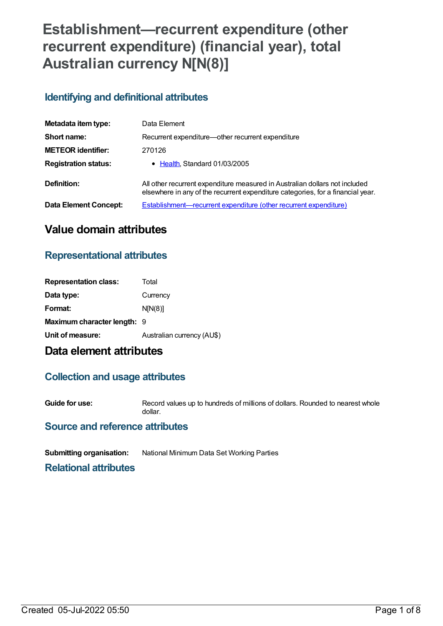# **Establishment—recurrent expenditure (other recurrent expenditure) (financial year), total Australian currency N[N(8)]**

## **Identifying and definitional attributes**

| Metadata item type:          | Data Element                                                                                                                                                   |  |
|------------------------------|----------------------------------------------------------------------------------------------------------------------------------------------------------------|--|
| Short name:                  | Recurrent expenditure—other recurrent expenditure                                                                                                              |  |
| <b>METEOR identifier:</b>    | 270126                                                                                                                                                         |  |
| <b>Registration status:</b>  | • Health, Standard 01/03/2005                                                                                                                                  |  |
| Definition:                  | All other recurrent expenditure measured in Australian dollars not included<br>elsewhere in any of the recurrent expenditure categories, for a financial year. |  |
| <b>Data Element Concept:</b> | <b>Establishment—recurrent expenditure (other recurrent expenditure)</b>                                                                                       |  |

## **Value domain attributes**

## **Representational attributes**

| <b>Representation class:</b> | Total                      |
|------------------------------|----------------------------|
| Data type:                   | Currency                   |
| Format:                      | N[N(8)]                    |
| Maximum character length: 9  |                            |
| Unit of measure:             | Australian currency (AU\$) |

## **Data element attributes**

### **Collection and usage attributes**

**Guide for use:** Record values up to hundreds of millions of dollars. Rounded to nearest whole dollar.

### **Source and reference attributes**

**Submitting organisation:** National Minimum Data Set Working Parties

**Relational attributes**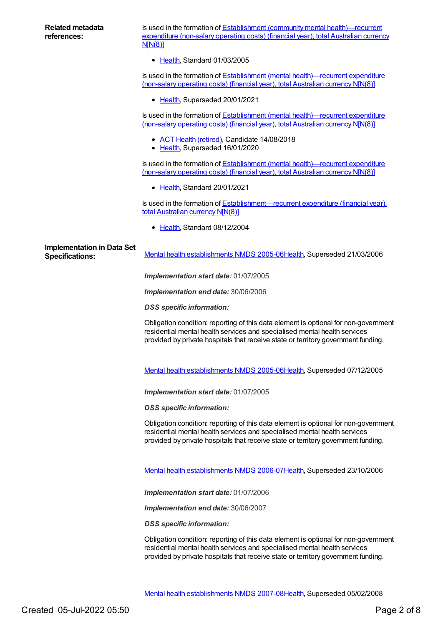Is used in the formation of Establishment (community mental [health\)—recurrent](https://meteor.aihw.gov.au/content/270297) expenditure (non-salary operating costs) (financial year), total Australian currency N[N(8)]

[Health](https://meteor.aihw.gov.au/RegistrationAuthority/12), Standard 01/03/2005

Is used in the formation of **Establishment** (mental [health\)—recurrent](https://meteor.aihw.gov.au/content/722164) expenditure (non-salary operating costs) (financial year), total Australian currency N[N(8)]

• [Health](https://meteor.aihw.gov.au/RegistrationAuthority/12), Superseded 20/01/2021

Is used in the formation of **Establishment** (mental [health\)—recurrent](https://meteor.aihw.gov.au/content/287979) expenditure (non-salary operating costs) (financial year), total Australian currency N[N(8)]

- ACT Health [\(retired\)](https://meteor.aihw.gov.au/RegistrationAuthority/9), Candidate 14/08/2018
- [Health](https://meteor.aihw.gov.au/RegistrationAuthority/12), Superseded 16/01/2020

Is used in the formation of Establishment (mental [health\)—recurrent](https://meteor.aihw.gov.au/content/737453) expenditure (non-salary operating costs) (financial year), total Australian currency N[N(8)]

[Health](https://meteor.aihw.gov.au/RegistrationAuthority/12), Standard 20/01/2021

Is used in the formation of **[Establishment—recurrent](https://meteor.aihw.gov.au/content/288993) expenditure (financial year)**, total Australian currency N[N(8)]

• [Health](https://meteor.aihw.gov.au/RegistrationAuthority/12), Standard 08/12/2004

# **Implementation in Data Set**

Specifications: Mental health [establishments](https://meteor.aihw.gov.au/content/311875) NMDS 2005-06[Health](https://meteor.aihw.gov.au/RegistrationAuthority/12), Superseded 21/03/2006

*Implementation start date:* 01/07/2005

*Implementation end date:* 30/06/2006

*DSS specific information:*

Obligation condition: reporting of this data element is optional for non-government residential mental health services and specialised mental health services provided by private hospitals that receive state or territory government funding.

Mental health [establishments](https://meteor.aihw.gov.au/content/298027) NMDS 2005-06[Health](https://meteor.aihw.gov.au/RegistrationAuthority/12), Superseded 07/12/2005

*Implementation start date:* 01/07/2005

*DSS specific information:*

Obligation condition: reporting of this data element is optional for non-government residential mental health services and specialised mental health services provided by private hospitals that receive state or territory government funding.

Mental health [establishments](https://meteor.aihw.gov.au/content/334283) NMDS 2006-07[Health](https://meteor.aihw.gov.au/RegistrationAuthority/12), Superseded 23/10/2006

*Implementation start date:* 01/07/2006

*Implementation end date:* 30/06/2007

*DSS specific information:*

Obligation condition: reporting of this data element is optional for non-government residential mental health services and specialised mental health services provided by private hospitals that receive state or territory government funding.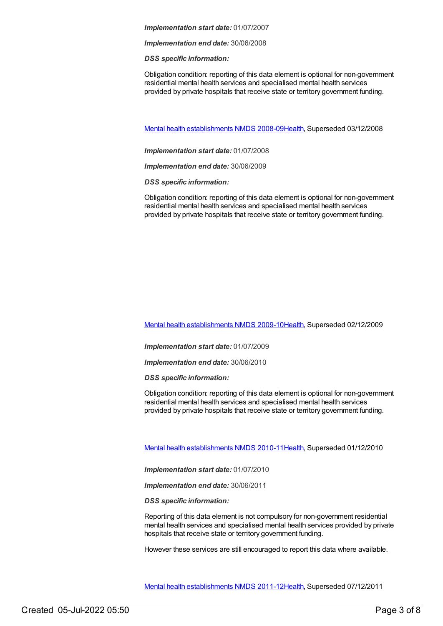*Implementation end date:* 30/06/2008

*DSS specific information:*

Obligation condition: reporting of this data element is optional for non-government residential mental health services and specialised mental health services provided by private hospitals that receive state or territory government funding.

Mental health [establishments](https://meteor.aihw.gov.au/content/362299) NMDS 2008-09[Health](https://meteor.aihw.gov.au/RegistrationAuthority/12), Superseded 03/12/2008

*Implementation start date:* 01/07/2008

*Implementation end date:* 30/06/2009

*DSS specific information:*

Obligation condition: reporting of this data element is optional for non-government residential mental health services and specialised mental health services provided by private hospitals that receive state or territory government funding.

Mental health [establishments](https://meteor.aihw.gov.au/content/374981) NMDS 2009-10[Health](https://meteor.aihw.gov.au/RegistrationAuthority/12), Superseded 02/12/2009

*Implementation start date:* 01/07/2009

*Implementation end date:* 30/06/2010

*DSS specific information:*

Obligation condition: reporting of this data element is optional for non-government residential mental health services and specialised mental health services provided by private hospitals that receive state or territory government funding.

Mental health [establishments](https://meteor.aihw.gov.au/content/378611) NMDS 2010-11[Health](https://meteor.aihw.gov.au/RegistrationAuthority/12), Superseded 01/12/2010

*Implementation start date:* 01/07/2010

*Implementation end date:* 30/06/2011

*DSS specific information:*

Reporting of this data element is not compulsory for non-government residential mental health services and specialised mental health services provided by private hospitals that receive state or territory government funding.

However these services are still encouraged to report this data where available.

Mental health [establishments](https://meteor.aihw.gov.au/content/424725) NMDS 2011-12[Health](https://meteor.aihw.gov.au/RegistrationAuthority/12), Superseded 07/12/2011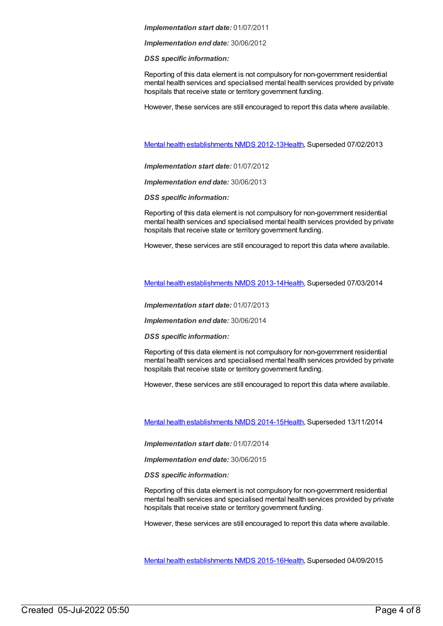*Implementation end date:* 30/06/2012

*DSS specific information:*

Reporting of this data element is not compulsory for non-government residential mental health services and specialised mental health services provided by private hospitals that receive state or territory government funding.

However, these services are still encouraged to report this data where available.

Mental health [establishments](https://meteor.aihw.gov.au/content/468195) NMDS 2012-13[Health](https://meteor.aihw.gov.au/RegistrationAuthority/12), Superseded 07/02/2013

*Implementation start date:* 01/07/2012

*Implementation end date:* 30/06/2013

*DSS specific information:*

Reporting of this data element is not compulsory for non-government residential mental health services and specialised mental health services provided by private hospitals that receive state or territory government funding.

However, these services are still encouraged to report this data where available.

Mental health [establishments](https://meteor.aihw.gov.au/content/493652) NMDS 2013-14[Health](https://meteor.aihw.gov.au/RegistrationAuthority/12), Superseded 07/03/2014

*Implementation start date:* 01/07/2013

*Implementation end date:* 30/06/2014

*DSS specific information:*

Reporting of this data element is not compulsory for non-government residential mental health services and specialised mental health services provided by private hospitals that receive state or territory government funding.

However, these services are still encouraged to report this data where available.

Mental health [establishments](https://meteor.aihw.gov.au/content/546889) NMDS 2014-15[Health](https://meteor.aihw.gov.au/RegistrationAuthority/12), Superseded 13/11/2014

*Implementation start date:* 01/07/2014

*Implementation end date:* 30/06/2015

*DSS specific information:*

Reporting of this data element is not compulsory for non-government residential mental health services and specialised mental health services provided by private hospitals that receive state or territory government funding.

However, these services are still encouraged to report this data where available.

Mental health [establishments](https://meteor.aihw.gov.au/content/565661) NMDS 2015-16[Health](https://meteor.aihw.gov.au/RegistrationAuthority/12), Superseded 04/09/2015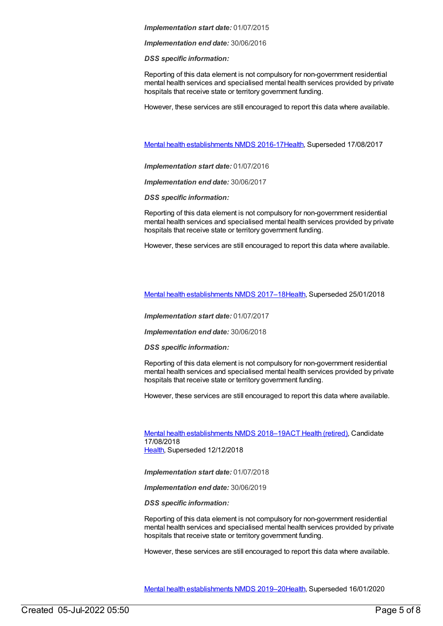*Implementation end date:* 30/06/2016

*DSS specific information:*

Reporting of this data element is not compulsory for non-government residential mental health services and specialised mental health services provided by private hospitals that receive state or territory government funding.

However, these services are still encouraged to report this data where available.

Mental health [establishments](https://meteor.aihw.gov.au/content/605829) NMDS 2016-17[Health](https://meteor.aihw.gov.au/RegistrationAuthority/12), Superseded 17/08/2017

*Implementation start date:* 01/07/2016

*Implementation end date:* 30/06/2017

*DSS specific information:*

Reporting of this data element is not compulsory for non-government residential mental health services and specialised mental health services provided by private hospitals that receive state or territory government funding.

However, these services are still encouraged to report this data where available.

Mental health [establishments](https://meteor.aihw.gov.au/content/645723) NMDS 2017–1[8Health](https://meteor.aihw.gov.au/RegistrationAuthority/12), Superseded 25/01/2018

*Implementation start date:* 01/07/2017

*Implementation end date:* 30/06/2018

*DSS specific information:*

Reporting of this data element is not compulsory for non-government residential mental health services and specialised mental health services provided by private hospitals that receive state or territory government funding.

However, these services are still encouraged to report this data where available.

Mental health [establishments](https://meteor.aihw.gov.au/content/677892) NMDS 2018-19ACT Health [\(retired\)](https://meteor.aihw.gov.au/RegistrationAuthority/9), Candidate 17/08/2018 [Health](https://meteor.aihw.gov.au/RegistrationAuthority/12), Superseded 12/12/2018

*Implementation start date:* 01/07/2018

*Implementation end date:* 30/06/2019

*DSS specific information:*

Reporting of this data element is not compulsory for non-government residential mental health services and specialised mental health services provided by private hospitals that receive state or territory government funding.

However, these services are still encouraged to report this data where available.

Mental health [establishments](https://meteor.aihw.gov.au/content/707557) NMDS 2019–2[0Health](https://meteor.aihw.gov.au/RegistrationAuthority/12), Superseded 16/01/2020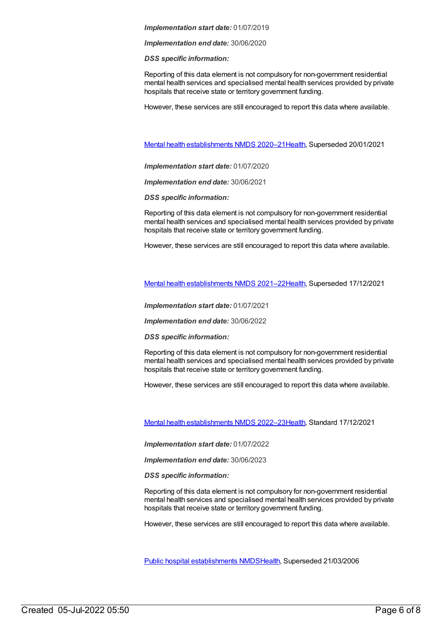*Implementation end date:* 30/06/2020

*DSS specific information:*

Reporting of this data element is not compulsory for non-government residential mental health services and specialised mental health services provided by private hospitals that receive state or territory government funding.

However, these services are still encouraged to report this data where available.

Mental health [establishments](https://meteor.aihw.gov.au/content/722168) NMDS 2020–2[1Health](https://meteor.aihw.gov.au/RegistrationAuthority/12), Superseded 20/01/2021

*Implementation start date:* 01/07/2020

*Implementation end date:* 30/06/2021

*DSS specific information:*

Reporting of this data element is not compulsory for non-government residential mental health services and specialised mental health services provided by private hospitals that receive state or territory government funding.

However, these services are still encouraged to report this data where available.

Mental health [establishments](https://meteor.aihw.gov.au/content/727352) NMDS 2021–2[2Health](https://meteor.aihw.gov.au/RegistrationAuthority/12), Superseded 17/12/2021

*Implementation start date:* 01/07/2021

*Implementation end date:* 30/06/2022

*DSS specific information:*

Reporting of this data element is not compulsory for non-government residential mental health services and specialised mental health services provided by private hospitals that receive state or territory government funding.

However, these services are still encouraged to report this data where available.

Mental health [establishments](https://meteor.aihw.gov.au/content/742046) NMDS 2022–2[3Health](https://meteor.aihw.gov.au/RegistrationAuthority/12), Standard 17/12/2021

*Implementation start date:* 01/07/2022

*Implementation end date:* 30/06/2023

*DSS specific information:*

Reporting of this data element is not compulsory for non-government residential mental health services and specialised mental health services provided by private hospitals that receive state or territory government funding.

However, these services are still encouraged to report this data where available.

Public hospital [establishments](https://meteor.aihw.gov.au/content/273047) NMDS[Health](https://meteor.aihw.gov.au/RegistrationAuthority/12), Superseded 21/03/2006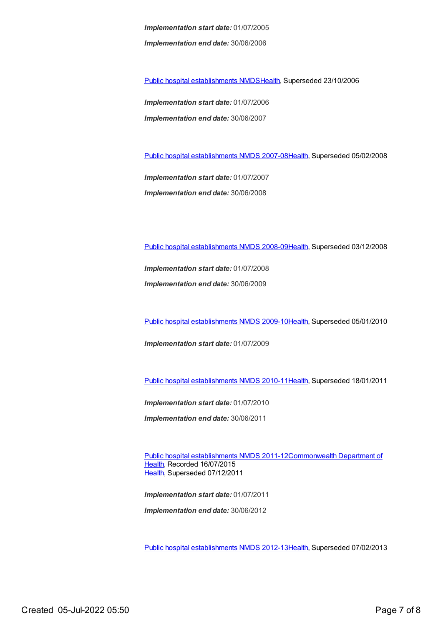*Implementation start date:* 01/07/2005 *Implementation end date:* 30/06/2006

Public hospital [establishments](https://meteor.aihw.gov.au/content/334285) NMDS[Health](https://meteor.aihw.gov.au/RegistrationAuthority/12), Superseded 23/10/2006

*Implementation start date:* 01/07/2006 *Implementation end date:* 30/06/2007

Public hospital [establishments](https://meteor.aihw.gov.au/content/345139) NMDS 2007-08[Health](https://meteor.aihw.gov.au/RegistrationAuthority/12), Superseded 05/02/2008

*Implementation start date:* 01/07/2007 *Implementation end date:* 30/06/2008

Public hospital [establishments](https://meteor.aihw.gov.au/content/362302) NMDS 2008-09[Health](https://meteor.aihw.gov.au/RegistrationAuthority/12), Superseded 03/12/2008

*Implementation start date:* 01/07/2008 *Implementation end date:* 30/06/2009

Public hospital [establishments](https://meteor.aihw.gov.au/content/374924) NMDS 2009-10[Health](https://meteor.aihw.gov.au/RegistrationAuthority/12), Superseded 05/01/2010

*Implementation start date:* 01/07/2009

Public hospital [establishments](https://meteor.aihw.gov.au/content/386794) NMDS 2010-11[Health](https://meteor.aihw.gov.au/RegistrationAuthority/12), Superseded 18/01/2011

*Implementation start date:* 01/07/2010

*Implementation end date:* 30/06/2011

Public hospital [establishments](https://meteor.aihw.gov.au/content/426900) NMDS [2011-12Commonwealth](https://meteor.aihw.gov.au/RegistrationAuthority/10) Department of Health, Recorded 16/07/2015 [Health](https://meteor.aihw.gov.au/RegistrationAuthority/12), Superseded 07/12/2011

*Implementation start date:* 01/07/2011 *Implementation end date:* 30/06/2012

Public hospital [establishments](https://meteor.aihw.gov.au/content/470656) NMDS 2012-13[Health](https://meteor.aihw.gov.au/RegistrationAuthority/12), Superseded 07/02/2013